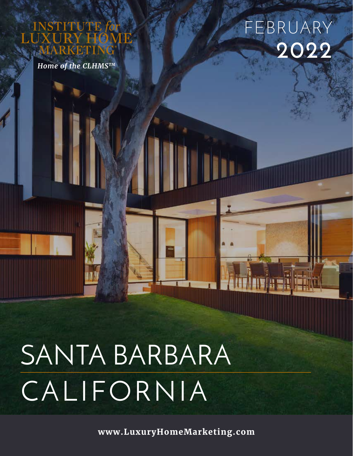## UTE

*Home of the CLHMSTM*

## **2022** FEBRUARY

# SANTA BARBARA CALIFORNIA

**www.LuxuryHomeMarketing.com**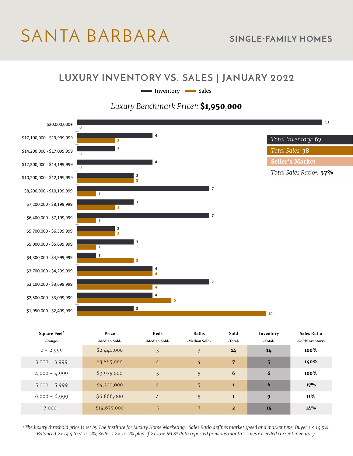## SANTA BARBARA **SINGLE-FAMILY HOMES**

#### **LUXURY INVENTORY VS. SALES | JANUARY 2022**

Inventory **I** Sales

#### *Luxury Benchmark Price<sup>1</sup>:* **\$1***,***950***,***000**



| Square Feet <sup>3</sup> | Price         | <b>Beds</b>    | <b>Baths</b>  | Sold           | Inventory | <b>Sales Ratio</b> |
|--------------------------|---------------|----------------|---------------|----------------|-----------|--------------------|
| -Range-                  | -Median Sold- | -Median Sold-  | -Median Sold- | -Total-        | -Total-   | -Sold/Inventory-   |
| $0 - 2,999$              | \$2,440,000   | $\overline{3}$ | 3             | 14             | 14        | 100%               |
| $3,000 - 3,999$          | \$3,865,000   | 4              | $\frac{1}{4}$ | 7              | 5         | 140%               |
| $4,000 - 4,999$          | \$3,975,000   | 5              | 5             | 6              | 6         | 100%               |
| $5,000 - 5,999$          | \$4,200,000   | $\frac{1}{4}$  | 5             | $\mathbf{1}$   | 6         | 17%                |
| $6,000 - 6,999$          | \$6,866,000   | $\frac{1}{4}$  | 5             | $\mathbf{1}$   | 9         | <b>11%</b>         |
| $7,000+$                 | \$14,675,000  | 5              | 7             | $\overline{2}$ | 14        | 14%                |

*1 The luxury threshold price is set by The Institute for Luxury Home Marketing. 2Sales Ratio defines market speed and market type: Buyer's < 14.5%; Balanced >= 14.5 to < 20.5%; Seller's >= 20.5% plus. If >100% MLS® data reported previous month's sales exceeded current inventory.*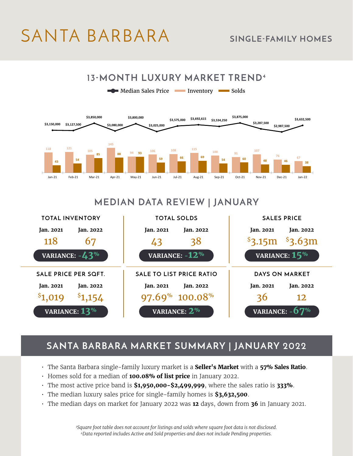## SANTA BARBARA **SINGLE-FAMILY HOMES**



#### **MEDIAN DATA REVIEW | JANUARY**



#### **SANTA BARBARA MARKET SUMMARY | JANUARY 2022**

- The Santa Barbara single-family luxury market is a **Seller's Market** with a **57% Sales Ratio**.
- Homes sold for a median of **100.08% of list price** in January 2022.
- The most active price band is **\$1,950,000-\$2,499,999**, where the sales ratio is **333%**.
- The median luxury sales price for single-family homes is **\$3,632,500**.
- The median days on market for January 2022 was **12** days, down from **36** in January 2021.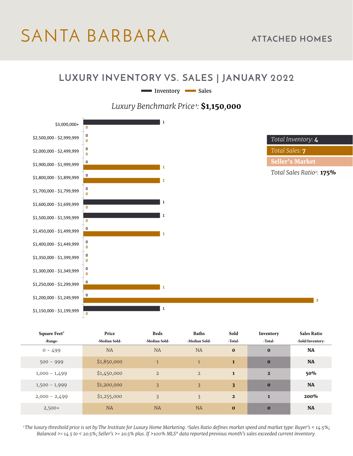### SANTA BARBARA **ATTACHED HOMES**

#### **LUXURY INVENTORY VS. SALES | JANUARY 2022**

Inventory Sales





| Square Feet <sup>3</sup> | Price         | <b>Beds</b>    | <b>Baths</b>   | Sold                    | Inventory      | <b>Sales Ratio</b> |
|--------------------------|---------------|----------------|----------------|-------------------------|----------------|--------------------|
| -Range-                  | -Median Sold- | -Median Sold-  | -Median Sold-  | -Total-                 | -Total-        | -Sold/Inventory-   |
| $0 - 499$                | <b>NA</b>     | <b>NA</b>      | <b>NA</b>      | $\bf{0}$                | $\bf{0}$       | <b>NA</b>          |
| $500 - 999$              | \$1,850,000   | $\mathbf{1}$   | $\mathbf{1}$   | $\mathbf{1}$            | $\bf{0}$       | <b>NA</b>          |
| $1,000 - 1,499$          | \$1,450,000   | $\overline{2}$ | $\overline{2}$ | $\mathbf{1}$            | $\overline{2}$ | 50%                |
| $1,500 - 1,999$          | \$1,200,000   | 3              | 3              | $\overline{\mathbf{3}}$ | $\bf{0}$       | <b>NA</b>          |
| $2,000 - 2,499$          | \$1,255,000   | 3              | 3              | $\overline{2}$          | $\mathbf{1}$   | 200%               |
| $2,500+$                 | <b>NA</b>     | <b>NA</b>      | <b>NA</b>      | $\bf{0}$                | $\bf{0}$       | <b>NA</b>          |

*1 The luxury threshold price is set by The Institute for Luxury Home Marketing. 2Sales Ratio defines market speed and market type: Buyer's < 14.5%; Balanced >= 14.5 to < 20.5%; Seller's >= 20.5% plus. If >100% MLS® data reported previous month's sales exceeded current inventory.*